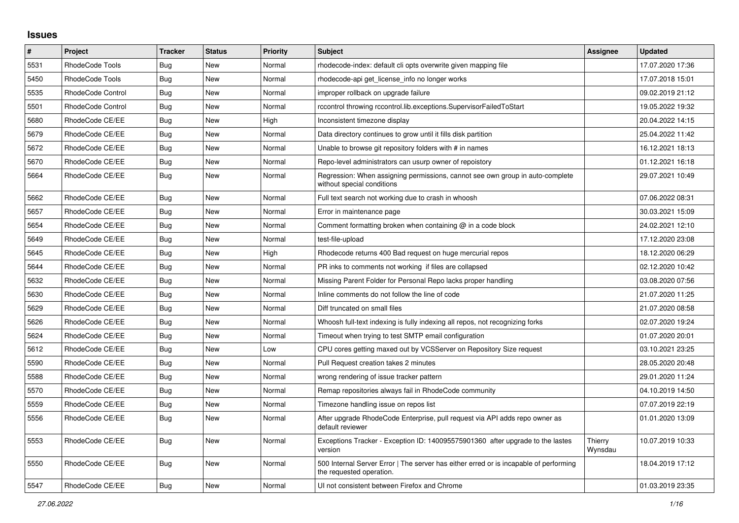## **Issues**

| $\vert$ # | Project                  | <b>Tracker</b> | <b>Status</b> | <b>Priority</b> | <b>Subject</b>                                                                                                    | Assignee           | <b>Updated</b>   |
|-----------|--------------------------|----------------|---------------|-----------------|-------------------------------------------------------------------------------------------------------------------|--------------------|------------------|
| 5531      | RhodeCode Tools          | Bug            | <b>New</b>    | Normal          | rhodecode-index: default cli opts overwrite given mapping file                                                    |                    | 17.07.2020 17:36 |
| 5450      | RhodeCode Tools          | Bug            | New           | Normal          | rhodecode-api get license info no longer works                                                                    |                    | 17.07.2018 15:01 |
| 5535      | <b>RhodeCode Control</b> | Bug            | <b>New</b>    | Normal          | improper rollback on upgrade failure                                                                              |                    | 09.02.2019 21:12 |
| 5501      | <b>RhodeCode Control</b> | Bug            | <b>New</b>    | Normal          | rccontrol throwing rccontrol.lib.exceptions.SupervisorFailedToStart                                               |                    | 19.05.2022 19:32 |
| 5680      | RhodeCode CE/EE          | Bug            | <b>New</b>    | High            | Inconsistent timezone display                                                                                     |                    | 20.04.2022 14:15 |
| 5679      | RhodeCode CE/EE          | Bug            | New           | Normal          | Data directory continues to grow until it fills disk partition                                                    |                    | 25.04.2022 11:42 |
| 5672      | RhodeCode CE/EE          | Bug            | <b>New</b>    | Normal          | Unable to browse git repository folders with # in names                                                           |                    | 16.12.2021 18:13 |
| 5670      | RhodeCode CE/EE          | Bug            | <b>New</b>    | Normal          | Repo-level administrators can usurp owner of repoistory                                                           |                    | 01.12.2021 16:18 |
| 5664      | RhodeCode CE/EE          | <b>Bug</b>     | New           | Normal          | Regression: When assigning permissions, cannot see own group in auto-complete<br>without special conditions       |                    | 29.07.2021 10:49 |
| 5662      | RhodeCode CE/EE          | Bug            | New           | Normal          | Full text search not working due to crash in whoosh                                                               |                    | 07.06.2022 08:31 |
| 5657      | RhodeCode CE/EE          | Bug            | New           | Normal          | Error in maintenance page                                                                                         |                    | 30.03.2021 15:09 |
| 5654      | RhodeCode CE/EE          | Bug            | <b>New</b>    | Normal          | Comment formatting broken when containing $@$ in a code block                                                     |                    | 24.02.2021 12:10 |
| 5649      | RhodeCode CE/EE          | Bug            | <b>New</b>    | Normal          | test-file-upload                                                                                                  |                    | 17.12.2020 23:08 |
| 5645      | RhodeCode CE/EE          | Bug            | <b>New</b>    | High            | Rhodecode returns 400 Bad request on huge mercurial repos                                                         |                    | 18.12.2020 06:29 |
| 5644      | RhodeCode CE/EE          | Bug            | New           | Normal          | PR inks to comments not working if files are collapsed                                                            |                    | 02.12.2020 10:42 |
| 5632      | RhodeCode CE/EE          | Bug            | <b>New</b>    | Normal          | Missing Parent Folder for Personal Repo lacks proper handling                                                     |                    | 03.08.2020 07:56 |
| 5630      | RhodeCode CE/EE          | <b>Bug</b>     | <b>New</b>    | Normal          | Inline comments do not follow the line of code                                                                    |                    | 21.07.2020 11:25 |
| 5629      | RhodeCode CE/EE          | Bug            | <b>New</b>    | Normal          | Diff truncated on small files                                                                                     |                    | 21.07.2020 08:58 |
| 5626      | RhodeCode CE/EE          | <b>Bug</b>     | <b>New</b>    | Normal          | Whoosh full-text indexing is fully indexing all repos, not recognizing forks                                      |                    | 02.07.2020 19:24 |
| 5624      | RhodeCode CE/EE          | <b>Bug</b>     | <b>New</b>    | Normal          | Timeout when trying to test SMTP email configuration                                                              |                    | 01.07.2020 20:01 |
| 5612      | RhodeCode CE/EE          | Bug            | <b>New</b>    | Low             | CPU cores getting maxed out by VCSServer on Repository Size request                                               |                    | 03.10.2021 23:25 |
| 5590      | RhodeCode CE/EE          | Bug            | <b>New</b>    | Normal          | Pull Request creation takes 2 minutes                                                                             |                    | 28.05.2020 20:48 |
| 5588      | RhodeCode CE/EE          | Bug            | <b>New</b>    | Normal          | wrong rendering of issue tracker pattern                                                                          |                    | 29.01.2020 11:24 |
| 5570      | RhodeCode CE/EE          | Bug            | New           | Normal          | Remap repositories always fail in RhodeCode community                                                             |                    | 04.10.2019 14:50 |
| 5559      | RhodeCode CE/EE          | Bug            | New           | Normal          | Timezone handling issue on repos list                                                                             |                    | 07.07.2019 22:19 |
| 5556      | RhodeCode CE/EE          | Bug            | <b>New</b>    | Normal          | After upgrade RhodeCode Enterprise, pull request via API adds repo owner as<br>default reviewer                   |                    | 01.01.2020 13:09 |
| 5553      | RhodeCode CE/EE          | Bug            | <b>New</b>    | Normal          | Exceptions Tracker - Exception ID: 140095575901360 after upgrade to the lastes<br>version                         | Thierry<br>Wynsdau | 10.07.2019 10:33 |
| 5550      | RhodeCode CE/EE          | <b>Bug</b>     | <b>New</b>    | Normal          | 500 Internal Server Error   The server has either erred or is incapable of performing<br>the requested operation. |                    | 18.04.2019 17:12 |
| 5547      | RhodeCode CE/EE          | Bug            | <b>New</b>    | Normal          | UI not consistent between Firefox and Chrome                                                                      |                    | 01.03.2019 23:35 |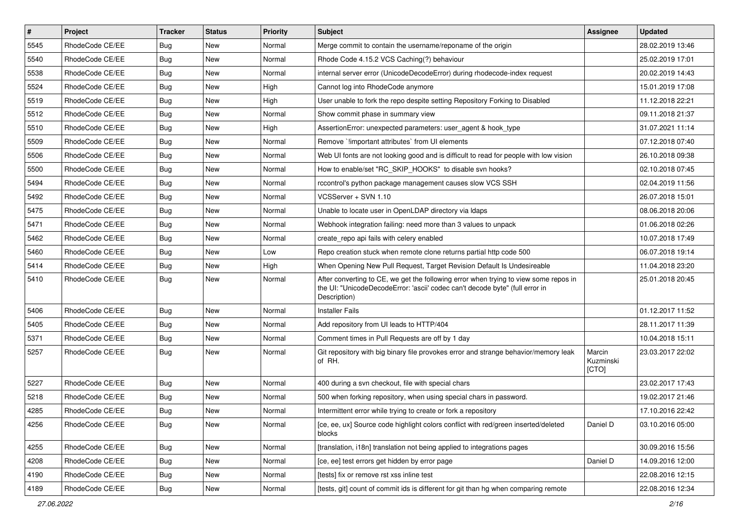| $\vert$ # | Project         | <b>Tracker</b> | <b>Status</b> | <b>Priority</b> | <b>Subject</b>                                                                                                                                                                       | <b>Assignee</b>              | <b>Updated</b>   |
|-----------|-----------------|----------------|---------------|-----------------|--------------------------------------------------------------------------------------------------------------------------------------------------------------------------------------|------------------------------|------------------|
| 5545      | RhodeCode CE/EE | Bug            | New           | Normal          | Merge commit to contain the username/reponame of the origin                                                                                                                          |                              | 28.02.2019 13:46 |
| 5540      | RhodeCode CE/EE | Bug            | New           | Normal          | Rhode Code 4.15.2 VCS Caching(?) behaviour                                                                                                                                           |                              | 25.02.2019 17:01 |
| 5538      | RhodeCode CE/EE | Bug            | <b>New</b>    | Normal          | internal server error (UnicodeDecodeError) during rhodecode-index request                                                                                                            |                              | 20.02.2019 14:43 |
| 5524      | RhodeCode CE/EE | <b>Bug</b>     | New           | High            | Cannot log into RhodeCode anymore                                                                                                                                                    |                              | 15.01.2019 17:08 |
| 5519      | RhodeCode CE/EE | Bug            | <b>New</b>    | High            | User unable to fork the repo despite setting Repository Forking to Disabled                                                                                                          |                              | 11.12.2018 22:21 |
| 5512      | RhodeCode CE/EE | <b>Bug</b>     | New           | Normal          | Show commit phase in summary view                                                                                                                                                    |                              | 09.11.2018 21:37 |
| 5510      | RhodeCode CE/EE | <b>Bug</b>     | New           | High            | AssertionError: unexpected parameters: user_agent & hook_type                                                                                                                        |                              | 31.07.2021 11:14 |
| 5509      | RhodeCode CE/EE | <b>Bug</b>     | <b>New</b>    | Normal          | Remove `limportant attributes` from UI elements                                                                                                                                      |                              | 07.12.2018 07:40 |
| 5506      | RhodeCode CE/EE | Bug            | New           | Normal          | Web UI fonts are not looking good and is difficult to read for people with low vision                                                                                                |                              | 26.10.2018 09:38 |
| 5500      | RhodeCode CE/EE | Bug            | New           | Normal          | How to enable/set "RC_SKIP_HOOKS" to disable svn hooks?                                                                                                                              |                              | 02.10.2018 07:45 |
| 5494      | RhodeCode CE/EE | Bug            | New           | Normal          | rccontrol's python package management causes slow VCS SSH                                                                                                                            |                              | 02.04.2019 11:56 |
| 5492      | RhodeCode CE/EE | Bug            | New           | Normal          | VCSServer + SVN 1.10                                                                                                                                                                 |                              | 26.07.2018 15:01 |
| 5475      | RhodeCode CE/EE | Bug            | New           | Normal          | Unable to locate user in OpenLDAP directory via Idaps                                                                                                                                |                              | 08.06.2018 20:06 |
| 5471      | RhodeCode CE/EE | Bug            | New           | Normal          | Webhook integration failing: need more than 3 values to unpack                                                                                                                       |                              | 01.06.2018 02:26 |
| 5462      | RhodeCode CE/EE | Bug            | New           | Normal          | create repo api fails with celery enabled                                                                                                                                            |                              | 10.07.2018 17:49 |
| 5460      | RhodeCode CE/EE | Bug            | <b>New</b>    | Low             | Repo creation stuck when remote clone returns partial http code 500                                                                                                                  |                              | 06.07.2018 19:14 |
| 5414      | RhodeCode CE/EE | Bug            | New           | High            | When Opening New Pull Request, Target Revision Default Is Undesireable                                                                                                               |                              | 11.04.2018 23:20 |
| 5410      | RhodeCode CE/EE | Bug            | New           | Normal          | After converting to CE, we get the following error when trying to view some repos in<br>the UI: "UnicodeDecodeError: 'ascii' codec can't decode byte" (full error in<br>Description) |                              | 25.01.2018 20:45 |
| 5406      | RhodeCode CE/EE | Bug            | <b>New</b>    | Normal          | <b>Installer Fails</b>                                                                                                                                                               |                              | 01.12.2017 11:52 |
| 5405      | RhodeCode CE/EE | Bug            | New           | Normal          | Add repository from UI leads to HTTP/404                                                                                                                                             |                              | 28.11.2017 11:39 |
| 5371      | RhodeCode CE/EE | Bug            | New           | Normal          | Comment times in Pull Requests are off by 1 day                                                                                                                                      |                              | 10.04.2018 15:11 |
| 5257      | RhodeCode CE/EE | Bug            | New           | Normal          | Git repository with big binary file provokes error and strange behavior/memory leak<br>of RH.                                                                                        | Marcin<br>Kuzminski<br>[CTO] | 23.03.2017 22:02 |
| 5227      | RhodeCode CE/EE | Bug            | New           | Normal          | 400 during a svn checkout, file with special chars                                                                                                                                   |                              | 23.02.2017 17:43 |
| 5218      | RhodeCode CE/EE | Bug            | New           | Normal          | 500 when forking repository, when using special chars in password.                                                                                                                   |                              | 19.02.2017 21:46 |
| 4285      | RhodeCode CE/EE | Bug            | New           | Normal          | Intermittent error while trying to create or fork a repository                                                                                                                       |                              | 17.10.2016 22:42 |
| 4256      | RhodeCode CE/EE | Bug            | New           | Normal          | [ce, ee, ux] Source code highlight colors conflict with red/green inserted/deleted<br>blocks                                                                                         | Daniel D                     | 03.10.2016 05:00 |
| 4255      | RhodeCode CE/EE | <b>Bug</b>     | New           | Normal          | [translation, i18n] translation not being applied to integrations pages                                                                                                              |                              | 30.09.2016 15:56 |
| 4208      | RhodeCode CE/EE | <b>Bug</b>     | New           | Normal          | [ce, ee] test errors get hidden by error page                                                                                                                                        | Daniel D                     | 14.09.2016 12:00 |
| 4190      | RhodeCode CE/EE | <b>Bug</b>     | New           | Normal          | [tests] fix or remove rst xss inline test                                                                                                                                            |                              | 22.08.2016 12:15 |
| 4189      | RhodeCode CE/EE | <b>Bug</b>     | New           | Normal          | [tests, git] count of commit ids is different for git than hg when comparing remote                                                                                                  |                              | 22.08.2016 12:34 |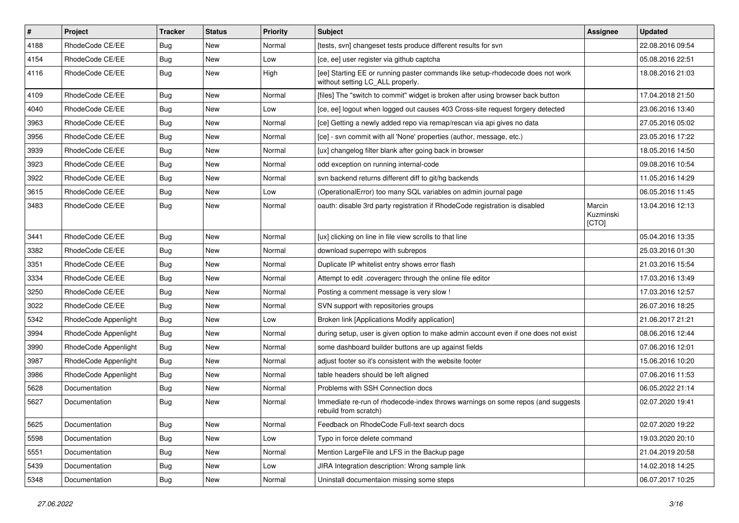| $\pmb{\#}$ | <b>Project</b>       | <b>Tracker</b> | <b>Status</b> | <b>Priority</b> | <b>Subject</b>                                                                                                     | <b>Assignee</b>              | <b>Updated</b>   |
|------------|----------------------|----------------|---------------|-----------------|--------------------------------------------------------------------------------------------------------------------|------------------------------|------------------|
| 4188       | RhodeCode CE/EE      | Bug            | New           | Normal          | [tests, svn] changeset tests produce different results for svn                                                     |                              | 22.08.2016 09:54 |
| 4154       | RhodeCode CE/EE      | Bug            | <b>New</b>    | Low             | [ce, ee] user register via github captcha                                                                          |                              | 05.08.2016 22:51 |
| 4116       | RhodeCode CE/EE      | Bug            | New           | High            | [ee] Starting EE or running paster commands like setup-rhodecode does not work<br>without setting LC_ALL properly. |                              | 18.08.2016 21:03 |
| 4109       | RhodeCode CE/EE      | Bug            | <b>New</b>    | Normal          | [files] The "switch to commit" widget is broken after using browser back button                                    |                              | 17.04.2018 21:50 |
| 4040       | RhodeCode CE/EE      | Bug            | New           | Low             | [ce, ee] logout when logged out causes 403 Cross-site request forgery detected                                     |                              | 23.06.2016 13:40 |
| 3963       | RhodeCode CE/EE      | Bug            | New           | Normal          | [ce] Getting a newly added repo via remap/rescan via api gives no data                                             |                              | 27.05.2016 05:02 |
| 3956       | RhodeCode CE/EE      | Bug            | New           | Normal          | [ce] - svn commit with all 'None' properties (author, message, etc.)                                               |                              | 23.05.2016 17:22 |
| 3939       | RhodeCode CE/EE      | <b>Bug</b>     | New           | Normal          | [ux] changelog filter blank after going back in browser                                                            |                              | 18.05.2016 14:50 |
| 3923       | RhodeCode CE/EE      | Bug            | <b>New</b>    | Normal          | odd exception on running internal-code                                                                             |                              | 09.08.2016 10:54 |
| 3922       | RhodeCode CE/EE      | Bug            | New           | Normal          | svn backend returns different diff to git/hg backends                                                              |                              | 11.05.2016 14:29 |
| 3615       | RhodeCode CE/EE      | Bug            | New           | Low             | (OperationalError) too many SQL variables on admin journal page                                                    |                              | 06.05.2016 11:45 |
| 3483       | RhodeCode CE/EE      | Bug            | <b>New</b>    | Normal          | oauth: disable 3rd party registration if RhodeCode registration is disabled                                        | Marcin<br>Kuzminski<br>[CTO] | 13.04.2016 12:13 |
| 3441       | RhodeCode CE/EE      | Bug            | New           | Normal          | [ux] clicking on line in file view scrolls to that line                                                            |                              | 05.04.2016 13:35 |
| 3382       | RhodeCode CE/EE      | Bug            | <b>New</b>    | Normal          | download superrepo with subrepos                                                                                   |                              | 25.03.2016 01:30 |
| 3351       | RhodeCode CE/EE      | Bug            | <b>New</b>    | Normal          | Duplicate IP whitelist entry shows error flash                                                                     |                              | 21.03.2016 15:54 |
| 3334       | RhodeCode CE/EE      | Bug            | New           | Normal          | Attempt to edit .coveragerc through the online file editor                                                         |                              | 17.03.2016 13:49 |
| 3250       | RhodeCode CE/EE      | Bug            | New           | Normal          | Posting a comment message is very slow !                                                                           |                              | 17.03.2016 12:57 |
| 3022       | RhodeCode CE/EE      | Bug            | New           | Normal          | SVN support with repositories groups                                                                               |                              | 26.07.2016 18:25 |
| 5342       | RhodeCode Appenlight | <b>Bug</b>     | <b>New</b>    | Low             | Broken link [Applications Modify application]                                                                      |                              | 21.06.2017 21:21 |
| 3994       | RhodeCode Appenlight | <b>Bug</b>     | New           | Normal          | during setup, user is given option to make admin account even if one does not exist                                |                              | 08.06.2016 12:44 |
| 3990       | RhodeCode Appenlight | Bug            | New           | Normal          | some dashboard builder buttons are up against fields                                                               |                              | 07.06.2016 12:01 |
| 3987       | RhodeCode Appenlight | Bug            | New           | Normal          | adjust footer so it's consistent with the website footer                                                           |                              | 15.06.2016 10:20 |
| 3986       | RhodeCode Appenlight | Bug            | <b>New</b>    | Normal          | table headers should be left aligned                                                                               |                              | 07.06.2016 11:53 |
| 5628       | Documentation        | Bug            | New           | Normal          | Problems with SSH Connection docs                                                                                  |                              | 06.05.2022 21:14 |
| 5627       | Documentation        | Bug            | New           | Normal          | Immediate re-run of rhodecode-index throws warnings on some repos (and suggests<br>rebuild from scratch)           |                              | 02.07.2020 19:41 |
| 5625       | Documentation        | Bug            | New           | Normal          | Feedback on RhodeCode Full-text search docs                                                                        |                              | 02.07.2020 19:22 |
| 5598       | Documentation        | <b>Bug</b>     | <b>New</b>    | Low             | Typo in force delete command                                                                                       |                              | 19.03.2020 20:10 |
| 5551       | Documentation        | <b>Bug</b>     | New           | Normal          | Mention LargeFile and LFS in the Backup page                                                                       |                              | 21.04.2019 20:58 |
| 5439       | Documentation        | <b>Bug</b>     | New           | Low             | JIRA Integration description: Wrong sample link                                                                    |                              | 14.02.2018 14:25 |
| 5348       | Documentation        | Bug            | New           | Normal          | Uninstall documentaion missing some steps                                                                          |                              | 06.07.2017 10:25 |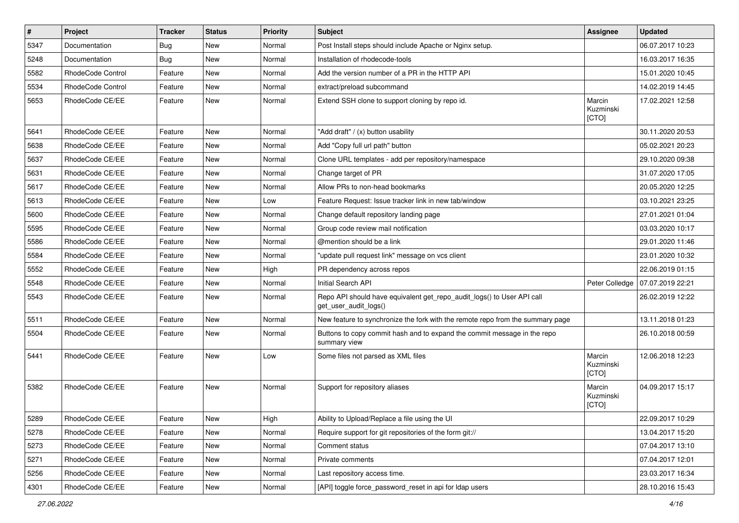| $\pmb{\#}$ | Project           | <b>Tracker</b> | <b>Status</b> | Priority | Subject                                                                                         | Assignee                     | <b>Updated</b>   |
|------------|-------------------|----------------|---------------|----------|-------------------------------------------------------------------------------------------------|------------------------------|------------------|
| 5347       | Documentation     | Bug            | New           | Normal   | Post Install steps should include Apache or Nginx setup.                                        |                              | 06.07.2017 10:23 |
| 5248       | Documentation     | Bug            | <b>New</b>    | Normal   | Installation of rhodecode-tools                                                                 |                              | 16.03.2017 16:35 |
| 5582       | RhodeCode Control | Feature        | New           | Normal   | Add the version number of a PR in the HTTP API                                                  |                              | 15.01.2020 10:45 |
| 5534       | RhodeCode Control | Feature        | New           | Normal   | extract/preload subcommand                                                                      |                              | 14.02.2019 14:45 |
| 5653       | RhodeCode CE/EE   | Feature        | <b>New</b>    | Normal   | Extend SSH clone to support cloning by repo id.                                                 | Marcin<br>Kuzminski<br>[CTO] | 17.02.2021 12:58 |
| 5641       | RhodeCode CE/EE   | Feature        | <b>New</b>    | Normal   | "Add draft" / (x) button usability                                                              |                              | 30.11.2020 20:53 |
| 5638       | RhodeCode CE/EE   | Feature        | <b>New</b>    | Normal   | Add "Copy full url path" button                                                                 |                              | 05.02.2021 20:23 |
| 5637       | RhodeCode CE/EE   | Feature        | <b>New</b>    | Normal   | Clone URL templates - add per repository/namespace                                              |                              | 29.10.2020 09:38 |
| 5631       | RhodeCode CE/EE   | Feature        | New           | Normal   | Change target of PR                                                                             |                              | 31.07.2020 17:05 |
| 5617       | RhodeCode CE/EE   | Feature        | New           | Normal   | Allow PRs to non-head bookmarks                                                                 |                              | 20.05.2020 12:25 |
| 5613       | RhodeCode CE/EE   | Feature        | <b>New</b>    | Low      | Feature Request: Issue tracker link in new tab/window                                           |                              | 03.10.2021 23:25 |
| 5600       | RhodeCode CE/EE   | Feature        | New           | Normal   | Change default repository landing page                                                          |                              | 27.01.2021 01:04 |
| 5595       | RhodeCode CE/EE   | Feature        | <b>New</b>    | Normal   | Group code review mail notification                                                             |                              | 03.03.2020 10:17 |
| 5586       | RhodeCode CE/EE   | Feature        | New           | Normal   | @mention should be a link                                                                       |                              | 29.01.2020 11:46 |
| 5584       | RhodeCode CE/EE   | Feature        | New           | Normal   | "update pull request link" message on vcs client                                                |                              | 23.01.2020 10:32 |
| 5552       | RhodeCode CE/EE   | Feature        | <b>New</b>    | High     | PR dependency across repos                                                                      |                              | 22.06.2019 01:15 |
| 5548       | RhodeCode CE/EE   | Feature        | New           | Normal   | Initial Search API                                                                              | Peter Colledge               | 07.07.2019 22:21 |
| 5543       | RhodeCode CE/EE   | Feature        | New           | Normal   | Repo API should have equivalent get_repo_audit_logs() to User API call<br>get_user_audit_logs() |                              | 26.02.2019 12:22 |
| 5511       | RhodeCode CE/EE   | Feature        | <b>New</b>    | Normal   | New feature to synchronize the fork with the remote repo from the summary page                  |                              | 13.11.2018 01:23 |
| 5504       | RhodeCode CE/EE   | Feature        | New           | Normal   | Buttons to copy commit hash and to expand the commit message in the repo<br>summary view        |                              | 26.10.2018 00:59 |
| 5441       | RhodeCode CE/EE   | Feature        | <b>New</b>    | Low      | Some files not parsed as XML files                                                              | Marcin<br>Kuzminski<br>[CTO] | 12.06.2018 12:23 |
| 5382       | RhodeCode CE/EE   | Feature        | <b>New</b>    | Normal   | Support for repository aliases                                                                  | Marcin<br>Kuzminski<br>[CTO] | 04.09.2017 15:17 |
| 5289       | RhodeCode CE/EE   | Feature        | New           | High     | Ability to Upload/Replace a file using the UI                                                   |                              | 22.09.2017 10:29 |
| 5278       | RhodeCode CE/EE   | Feature        | New           | Normal   | Require support for git repositories of the form git://                                         |                              | 13.04.2017 15:20 |
| 5273       | RhodeCode CE/EE   | Feature        | New           | Normal   | Comment status                                                                                  |                              | 07.04.2017 13:10 |
| 5271       | RhodeCode CE/EE   | Feature        | New           | Normal   | Private comments                                                                                |                              | 07.04.2017 12:01 |
| 5256       | RhodeCode CE/EE   | Feature        | New           | Normal   | Last repository access time.                                                                    |                              | 23.03.2017 16:34 |
| 4301       | RhodeCode CE/EE   | Feature        | New           | Normal   | [API] toggle force_password_reset in api for Idap users                                         |                              | 28.10.2016 15:43 |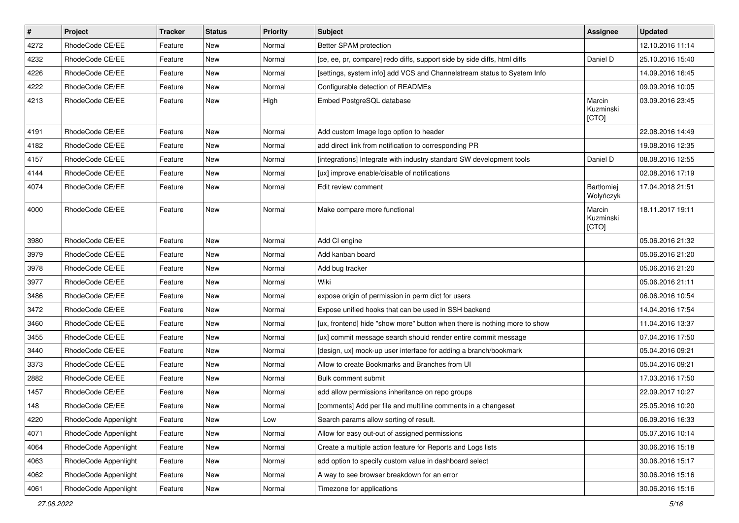| $\vert$ # | Project              | <b>Tracker</b> | <b>Status</b> | Priority | <b>Subject</b>                                                            | <b>Assignee</b>              | <b>Updated</b>   |
|-----------|----------------------|----------------|---------------|----------|---------------------------------------------------------------------------|------------------------------|------------------|
| 4272      | RhodeCode CE/EE      | Feature        | New           | Normal   | Better SPAM protection                                                    |                              | 12.10.2016 11:14 |
| 4232      | RhodeCode CE/EE      | Feature        | <b>New</b>    | Normal   | [ce, ee, pr, compare] redo diffs, support side by side diffs, html diffs  | Daniel D                     | 25.10.2016 15:40 |
| 4226      | RhodeCode CE/EE      | Feature        | New           | Normal   | [settings, system info] add VCS and Channelstream status to System Info   |                              | 14.09.2016 16:45 |
| 4222      | RhodeCode CE/EE      | Feature        | <b>New</b>    | Normal   | Configurable detection of READMEs                                         |                              | 09.09.2016 10:05 |
| 4213      | RhodeCode CE/EE      | Feature        | <b>New</b>    | High     | Embed PostgreSQL database                                                 | Marcin<br>Kuzminski<br>[CTO] | 03.09.2016 23:45 |
| 4191      | RhodeCode CE/EE      | Feature        | <b>New</b>    | Normal   | Add custom Image logo option to header                                    |                              | 22.08.2016 14:49 |
| 4182      | RhodeCode CE/EE      | Feature        | <b>New</b>    | Normal   | add direct link from notification to corresponding PR                     |                              | 19.08.2016 12:35 |
| 4157      | RhodeCode CE/EE      | Feature        | <b>New</b>    | Normal   | [integrations] Integrate with industry standard SW development tools      | Daniel D                     | 08.08.2016 12:55 |
| 4144      | RhodeCode CE/EE      | Feature        | New           | Normal   | [ux] improve enable/disable of notifications                              |                              | 02.08.2016 17:19 |
| 4074      | RhodeCode CE/EE      | Feature        | New           | Normal   | Edit review comment                                                       | Bartłomiej<br>Wołyńczyk      | 17.04.2018 21:51 |
| 4000      | RhodeCode CE/EE      | Feature        | <b>New</b>    | Normal   | Make compare more functional                                              | Marcin<br>Kuzminski<br>[CTO] | 18.11.2017 19:11 |
| 3980      | RhodeCode CE/EE      | Feature        | New           | Normal   | Add CI engine                                                             |                              | 05.06.2016 21:32 |
| 3979      | RhodeCode CE/EE      | Feature        | New           | Normal   | Add kanban board                                                          |                              | 05.06.2016 21:20 |
| 3978      | RhodeCode CE/EE      | Feature        | New           | Normal   | Add bug tracker                                                           |                              | 05.06.2016 21:20 |
| 3977      | RhodeCode CE/EE      | Feature        | <b>New</b>    | Normal   | Wiki                                                                      |                              | 05.06.2016 21:11 |
| 3486      | RhodeCode CE/EE      | Feature        | <b>New</b>    | Normal   | expose origin of permission in perm dict for users                        |                              | 06.06.2016 10:54 |
| 3472      | RhodeCode CE/EE      | Feature        | New           | Normal   | Expose unified hooks that can be used in SSH backend                      |                              | 14.04.2016 17:54 |
| 3460      | RhodeCode CE/EE      | Feature        | <b>New</b>    | Normal   | [ux, frontend] hide "show more" button when there is nothing more to show |                              | 11.04.2016 13:37 |
| 3455      | RhodeCode CE/EE      | Feature        | New           | Normal   | [ux] commit message search should render entire commit message            |                              | 07.04.2016 17:50 |
| 3440      | RhodeCode CE/EE      | Feature        | New           | Normal   | [design, ux] mock-up user interface for adding a branch/bookmark          |                              | 05.04.2016 09:21 |
| 3373      | RhodeCode CE/EE      | Feature        | <b>New</b>    | Normal   | Allow to create Bookmarks and Branches from UI                            |                              | 05.04.2016 09:21 |
| 2882      | RhodeCode CE/EE      | Feature        | New           | Normal   | Bulk comment submit                                                       |                              | 17.03.2016 17:50 |
| 1457      | RhodeCode CE/EE      | Feature        | <b>New</b>    | Normal   | add allow permissions inheritance on repo groups                          |                              | 22.09.2017 10:27 |
| 148       | RhodeCode CE/EE      | Feature        | <b>New</b>    | Normal   | [comments] Add per file and multiline comments in a changeset             |                              | 25.05.2016 10:20 |
| 4220      | RhodeCode Appenlight | Feature        | New           | Low      | Search params allow sorting of result.                                    |                              | 06.09.2016 16:33 |
| 4071      | RhodeCode Appenlight | Feature        | New           | Normal   | Allow for easy out-out of assigned permissions                            |                              | 05.07.2016 10:14 |
| 4064      | RhodeCode Appenlight | Feature        | New           | Normal   | Create a multiple action feature for Reports and Logs lists               |                              | 30.06.2016 15:18 |
| 4063      | RhodeCode Appenlight | Feature        | New           | Normal   | add option to specify custom value in dashboard select                    |                              | 30.06.2016 15:17 |
| 4062      | RhodeCode Appenlight | Feature        | New           | Normal   | A way to see browser breakdown for an error                               |                              | 30.06.2016 15:16 |
| 4061      | RhodeCode Appenlight | Feature        | New           | Normal   | Timezone for applications                                                 |                              | 30.06.2016 15:16 |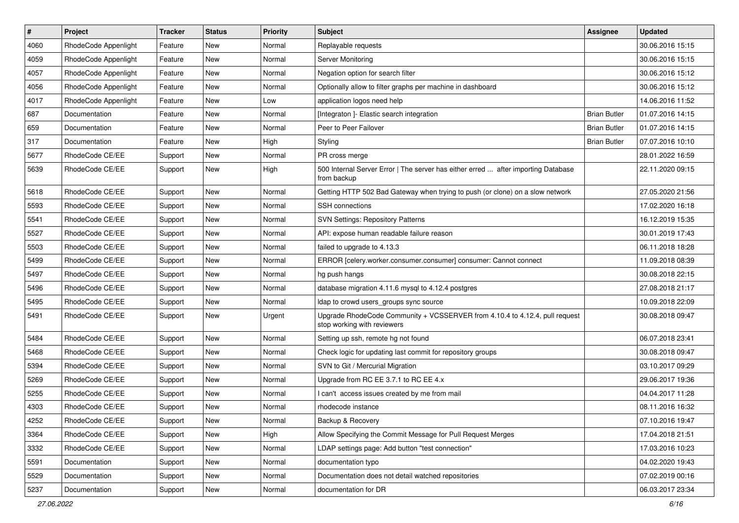| #    | Project              | <b>Tracker</b> | <b>Status</b> | Priority | Subject                                                                                                    | Assignee            | <b>Updated</b>   |
|------|----------------------|----------------|---------------|----------|------------------------------------------------------------------------------------------------------------|---------------------|------------------|
| 4060 | RhodeCode Appenlight | Feature        | New           | Normal   | Replayable requests                                                                                        |                     | 30.06.2016 15:15 |
| 4059 | RhodeCode Appenlight | Feature        | <b>New</b>    | Normal   | Server Monitoring                                                                                          |                     | 30.06.2016 15:15 |
| 4057 | RhodeCode Appenlight | Feature        | New           | Normal   | Negation option for search filter                                                                          |                     | 30.06.2016 15:12 |
| 4056 | RhodeCode Appenlight | Feature        | New           | Normal   | Optionally allow to filter graphs per machine in dashboard                                                 |                     | 30.06.2016 15:12 |
| 4017 | RhodeCode Appenlight | Feature        | <b>New</b>    | Low      | application logos need help                                                                                |                     | 14.06.2016 11:52 |
| 687  | Documentation        | Feature        | New           | Normal   | [Integraton ]- Elastic search integration                                                                  | <b>Brian Butler</b> | 01.07.2016 14:15 |
| 659  | Documentation        | Feature        | New           | Normal   | Peer to Peer Failover                                                                                      | <b>Brian Butler</b> | 01.07.2016 14:15 |
| 317  | Documentation        | Feature        | New           | High     | Styling                                                                                                    | <b>Brian Butler</b> | 07.07.2016 10:10 |
| 5677 | RhodeCode CE/EE      | Support        | New           | Normal   | PR cross merge                                                                                             |                     | 28.01.2022 16:59 |
| 5639 | RhodeCode CE/EE      | Support        | New           | High     | 500 Internal Server Error   The server has either erred  after importing Database<br>from backup           |                     | 22.11.2020 09:15 |
| 5618 | RhodeCode CE/EE      | Support        | <b>New</b>    | Normal   | Getting HTTP 502 Bad Gateway when trying to push (or clone) on a slow network                              |                     | 27.05.2020 21:56 |
| 5593 | RhodeCode CE/EE      | Support        | New           | Normal   | SSH connections                                                                                            |                     | 17.02.2020 16:18 |
| 5541 | RhodeCode CE/EE      | Support        | New           | Normal   | <b>SVN Settings: Repository Patterns</b>                                                                   |                     | 16.12.2019 15:35 |
| 5527 | RhodeCode CE/EE      | Support        | New           | Normal   | API: expose human readable failure reason                                                                  |                     | 30.01.2019 17:43 |
| 5503 | RhodeCode CE/EE      | Support        | New           | Normal   | failed to upgrade to 4.13.3                                                                                |                     | 06.11.2018 18:28 |
| 5499 | RhodeCode CE/EE      | Support        | New           | Normal   | ERROR [celery.worker.consumer.consumer] consumer: Cannot connect                                           |                     | 11.09.2018 08:39 |
| 5497 | RhodeCode CE/EE      | Support        | New           | Normal   | hg push hangs                                                                                              |                     | 30.08.2018 22:15 |
| 5496 | RhodeCode CE/EE      | Support        | New           | Normal   | database migration 4.11.6 mysql to 4.12.4 postgres                                                         |                     | 27.08.2018 21:17 |
| 5495 | RhodeCode CE/EE      | Support        | New           | Normal   | Idap to crowd users_groups sync source                                                                     |                     | 10.09.2018 22:09 |
| 5491 | RhodeCode CE/EE      | Support        | New           | Urgent   | Upgrade RhodeCode Community + VCSSERVER from 4.10.4 to 4.12.4, pull request<br>stop working with reviewers |                     | 30.08.2018 09:47 |
| 5484 | RhodeCode CE/EE      | Support        | <b>New</b>    | Normal   | Setting up ssh, remote hg not found                                                                        |                     | 06.07.2018 23:41 |
| 5468 | RhodeCode CE/EE      | Support        | New           | Normal   | Check logic for updating last commit for repository groups                                                 |                     | 30.08.2018 09:47 |
| 5394 | RhodeCode CE/EE      | Support        | New           | Normal   | SVN to Git / Mercurial Migration                                                                           |                     | 03.10.2017 09:29 |
| 5269 | RhodeCode CE/EE      | Support        | <b>New</b>    | Normal   | Upgrade from RC EE 3.7.1 to RC EE 4.x                                                                      |                     | 29.06.2017 19:36 |
| 5255 | RhodeCode CE/EE      | Support        | New           | Normal   | I can't access issues created by me from mail                                                              |                     | 04.04.2017 11:28 |
| 4303 | RhodeCode CE/EE      | Support        | <b>New</b>    | Normal   | rhodecode instance                                                                                         |                     | 08.11.2016 16:32 |
| 4252 | RhodeCode CE/EE      | Support        | New           | Normal   | Backup & Recovery                                                                                          |                     | 07.10.2016 19:47 |
| 3364 | RhodeCode CE/EE      | Support        | New           | High     | Allow Specifying the Commit Message for Pull Request Merges                                                |                     | 17.04.2018 21:51 |
| 3332 | RhodeCode CE/EE      | Support        | New           | Normal   | LDAP settings page: Add button "test connection"                                                           |                     | 17.03.2016 10:23 |
| 5591 | Documentation        | Support        | New           | Normal   | documentation typo                                                                                         |                     | 04.02.2020 19:43 |
| 5529 | Documentation        | Support        | New           | Normal   | Documentation does not detail watched repositories                                                         |                     | 07.02.2019 00:16 |
| 5237 | Documentation        | Support        | New           | Normal   | documentation for DR                                                                                       |                     | 06.03.2017 23:34 |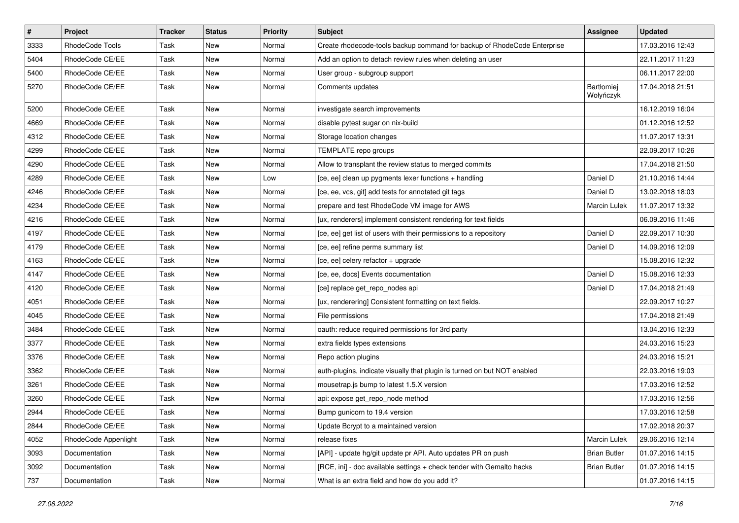| $\vert$ # | Project              | <b>Tracker</b> | <b>Status</b> | <b>Priority</b> | Subject                                                                  | Assignee                | <b>Updated</b>   |
|-----------|----------------------|----------------|---------------|-----------------|--------------------------------------------------------------------------|-------------------------|------------------|
| 3333      | RhodeCode Tools      | Task           | New           | Normal          | Create rhodecode-tools backup command for backup of RhodeCode Enterprise |                         | 17.03.2016 12:43 |
| 5404      | RhodeCode CE/EE      | <b>Task</b>    | New           | Normal          | Add an option to detach review rules when deleting an user               |                         | 22.11.2017 11:23 |
| 5400      | RhodeCode CE/EE      | Task           | New           | Normal          | User group - subgroup support                                            |                         | 06.11.2017 22:00 |
| 5270      | RhodeCode CE/EE      | Task           | New           | Normal          | Comments updates                                                         | Bartłomiej<br>Wołyńczyk | 17.04.2018 21:51 |
| 5200      | RhodeCode CE/EE      | Task           | <b>New</b>    | Normal          | investigate search improvements                                          |                         | 16.12.2019 16:04 |
| 4669      | RhodeCode CE/EE      | Task           | <b>New</b>    | Normal          | disable pytest sugar on nix-build                                        |                         | 01.12.2016 12:52 |
| 4312      | RhodeCode CE/EE      | Task           | New           | Normal          | Storage location changes                                                 |                         | 11.07.2017 13:31 |
| 4299      | RhodeCode CE/EE      | Task           | New           | Normal          | TEMPLATE repo groups                                                     |                         | 22.09.2017 10:26 |
| 4290      | RhodeCode CE/EE      | Task           | <b>New</b>    | Normal          | Allow to transplant the review status to merged commits                  |                         | 17.04.2018 21:50 |
| 4289      | RhodeCode CE/EE      | Task           | New           | Low             | [ce, ee] clean up pygments lexer functions + handling                    | Daniel D                | 21.10.2016 14:44 |
| 4246      | RhodeCode CE/EE      | Task           | New           | Normal          | [ce, ee, vcs, git] add tests for annotated git tags                      | Daniel D                | 13.02.2018 18:03 |
| 4234      | RhodeCode CE/EE      | Task           | New           | Normal          | prepare and test RhodeCode VM image for AWS                              | <b>Marcin Lulek</b>     | 11.07.2017 13:32 |
| 4216      | RhodeCode CE/EE      | Task           | New           | Normal          | [ux, renderers] implement consistent rendering for text fields           |                         | 06.09.2016 11:46 |
| 4197      | RhodeCode CE/EE      | Task           | New           | Normal          | [ce, ee] get list of users with their permissions to a repository        | Daniel D                | 22.09.2017 10:30 |
| 4179      | RhodeCode CE/EE      | Task           | New           | Normal          | [ce, ee] refine perms summary list                                       | Daniel D                | 14.09.2016 12:09 |
| 4163      | RhodeCode CE/EE      | Task           | New           | Normal          | [ce, ee] celery refactor + upgrade                                       |                         | 15.08.2016 12:32 |
| 4147      | RhodeCode CE/EE      | Task           | New           | Normal          | [ce, ee, docs] Events documentation                                      | Daniel D                | 15.08.2016 12:33 |
| 4120      | RhodeCode CE/EE      | Task           | New           | Normal          | [ce] replace get_repo_nodes api                                          | Daniel D                | 17.04.2018 21:49 |
| 4051      | RhodeCode CE/EE      | <b>Task</b>    | <b>New</b>    | Normal          | [ux, renderering] Consistent formatting on text fields.                  |                         | 22.09.2017 10:27 |
| 4045      | RhodeCode CE/EE      | Task           | New           | Normal          | File permissions                                                         |                         | 17.04.2018 21:49 |
| 3484      | RhodeCode CE/EE      | Task           | New           | Normal          | oauth: reduce required permissions for 3rd party                         |                         | 13.04.2016 12:33 |
| 3377      | RhodeCode CE/EE      | Task           | New           | Normal          | extra fields types extensions                                            |                         | 24.03.2016 15:23 |
| 3376      | RhodeCode CE/EE      | Task           | New           | Normal          | Repo action plugins                                                      |                         | 24.03.2016 15:21 |
| 3362      | RhodeCode CE/EE      | Task           | New           | Normal          | auth-plugins, indicate visually that plugin is turned on but NOT enabled |                         | 22.03.2016 19:03 |
| 3261      | RhodeCode CE/EE      | Task           | New           | Normal          | mousetrap.js bump to latest 1.5.X version                                |                         | 17.03.2016 12:52 |
| 3260      | RhodeCode CE/EE      | Task           | New           | Normal          | api: expose get_repo_node method                                         |                         | 17.03.2016 12:56 |
| 2944      | RhodeCode CE/EE      | Task           | New           | Normal          | Bump gunicorn to 19.4 version                                            |                         | 17.03.2016 12:58 |
| 2844      | RhodeCode CE/EE      | Task           | New           | Normal          | Update Bcrypt to a maintained version                                    |                         | 17.02.2018 20:37 |
| 4052      | RhodeCode Appenlight | Task           | New           | Normal          | release fixes                                                            | Marcin Lulek            | 29.06.2016 12:14 |
| 3093      | Documentation        | Task           | New           | Normal          | [API] - update hg/git update pr API. Auto updates PR on push             | <b>Brian Butler</b>     | 01.07.2016 14:15 |
| 3092      | Documentation        | Task           | New           | Normal          | [RCE, ini] - doc available settings + check tender with Gemalto hacks    | <b>Brian Butler</b>     | 01.07.2016 14:15 |
| 737       | Documentation        | Task           | New           | Normal          | What is an extra field and how do you add it?                            |                         | 01.07.2016 14:15 |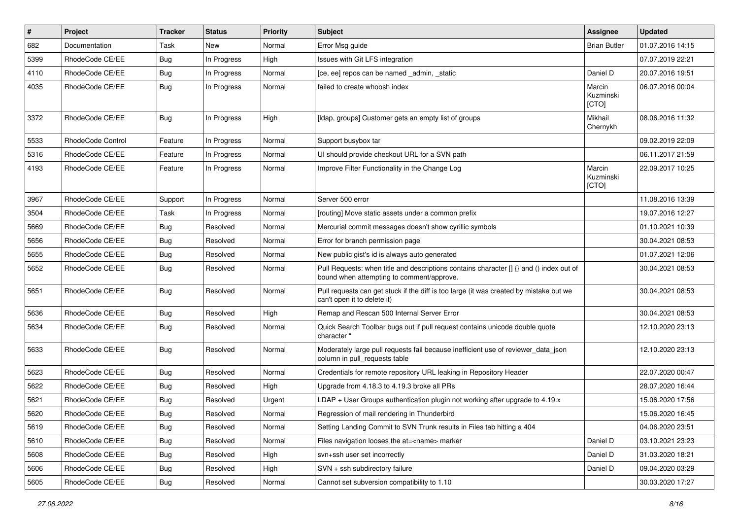| #    | Project           | <b>Tracker</b> | <b>Status</b> | <b>Priority</b> | Subject                                                                                                                              | Assignee                     | <b>Updated</b>   |
|------|-------------------|----------------|---------------|-----------------|--------------------------------------------------------------------------------------------------------------------------------------|------------------------------|------------------|
| 682  | Documentation     | Task           | New           | Normal          | Error Msg guide                                                                                                                      | <b>Brian Butler</b>          | 01.07.2016 14:15 |
| 5399 | RhodeCode CE/EE   | <b>Bug</b>     | In Progress   | High            | Issues with Git LFS integration                                                                                                      |                              | 07.07.2019 22:21 |
| 4110 | RhodeCode CE/EE   | Bug            | In Progress   | Normal          | [ce, ee] repos can be named admin, static                                                                                            | Daniel D                     | 20.07.2016 19:51 |
| 4035 | RhodeCode CE/EE   | Bug            | In Progress   | Normal          | failed to create whoosh index                                                                                                        | Marcin<br>Kuzminski<br>[CTO] | 06.07.2016 00:04 |
| 3372 | RhodeCode CE/EE   | Bug            | In Progress   | High            | [Idap, groups] Customer gets an empty list of groups                                                                                 | Mikhail<br>Chernykh          | 08.06.2016 11:32 |
| 5533 | RhodeCode Control | Feature        | In Progress   | Normal          | Support busybox tar                                                                                                                  |                              | 09.02.2019 22:09 |
| 5316 | RhodeCode CE/EE   | Feature        | In Progress   | Normal          | UI should provide checkout URL for a SVN path                                                                                        |                              | 06.11.2017 21:59 |
| 4193 | RhodeCode CE/EE   | Feature        | In Progress   | Normal          | Improve Filter Functionality in the Change Log                                                                                       | Marcin<br>Kuzminski<br>[CTO] | 22.09.2017 10:25 |
| 3967 | RhodeCode CE/EE   | Support        | In Progress   | Normal          | Server 500 error                                                                                                                     |                              | 11.08.2016 13:39 |
| 3504 | RhodeCode CE/EE   | Task           | In Progress   | Normal          | [routing] Move static assets under a common prefix                                                                                   |                              | 19.07.2016 12:27 |
| 5669 | RhodeCode CE/EE   | <b>Bug</b>     | Resolved      | Normal          | Mercurial commit messages doesn't show cyrillic symbols                                                                              |                              | 01.10.2021 10:39 |
| 5656 | RhodeCode CE/EE   | Bug            | Resolved      | Normal          | Error for branch permission page                                                                                                     |                              | 30.04.2021 08:53 |
| 5655 | RhodeCode CE/EE   | Bug            | Resolved      | Normal          | New public gist's id is always auto generated                                                                                        |                              | 01.07.2021 12:06 |
| 5652 | RhodeCode CE/EE   | Bug            | Resolved      | Normal          | Pull Requests: when title and descriptions contains character [] {} and () index out of<br>bound when attempting to comment/approve. |                              | 30.04.2021 08:53 |
| 5651 | RhodeCode CE/EE   | Bug            | Resolved      | Normal          | Pull requests can get stuck if the diff is too large (it was created by mistake but we<br>can't open it to delete it)                |                              | 30.04.2021 08:53 |
| 5636 | RhodeCode CE/EE   | Bug            | Resolved      | High            | Remap and Rescan 500 Internal Server Error                                                                                           |                              | 30.04.2021 08:53 |
| 5634 | RhodeCode CE/EE   | Bug            | Resolved      | Normal          | Quick Search Toolbar bugs out if pull request contains unicode double quote<br>character "                                           |                              | 12.10.2020 23:13 |
| 5633 | RhodeCode CE/EE   | Bug            | Resolved      | Normal          | Moderately large pull requests fail because inefficient use of reviewer_data_json<br>column in pull_requests table                   |                              | 12.10.2020 23:13 |
| 5623 | RhodeCode CE/EE   | Bug            | Resolved      | Normal          | Credentials for remote repository URL leaking in Repository Header                                                                   |                              | 22.07.2020 00:47 |
| 5622 | RhodeCode CE/EE   | <b>Bug</b>     | Resolved      | High            | Upgrade from 4.18.3 to 4.19.3 broke all PRs                                                                                          |                              | 28.07.2020 16:44 |
| 5621 | RhodeCode CE/EE   | Bug            | Resolved      | Urgent          | LDAP + User Groups authentication plugin not working after upgrade to 4.19.x                                                         |                              | 15.06.2020 17:56 |
| 5620 | RhodeCode CE/EE   | Bug            | Resolved      | Normal          | Regression of mail rendering in Thunderbird                                                                                          |                              | 15.06.2020 16:45 |
| 5619 | RhodeCode CE/EE   | Bug            | Resolved      | Normal          | Setting Landing Commit to SVN Trunk results in Files tab hitting a 404                                                               |                              | 04.06.2020 23:51 |
| 5610 | RhodeCode CE/EE   | <b>Bug</b>     | Resolved      | Normal          | Files navigation looses the at= <name> marker</name>                                                                                 | Daniel D                     | 03.10.2021 23:23 |
| 5608 | RhodeCode CE/EE   | <b>Bug</b>     | Resolved      | High            | svn+ssh user set incorrectly                                                                                                         | Daniel D                     | 31.03.2020 18:21 |
| 5606 | RhodeCode CE/EE   | <b>Bug</b>     | Resolved      | High            | SVN + ssh subdirectory failure                                                                                                       | Daniel D                     | 09.04.2020 03:29 |
| 5605 | RhodeCode CE/EE   | Bug            | Resolved      | Normal          | Cannot set subversion compatibility to 1.10                                                                                          |                              | 30.03.2020 17:27 |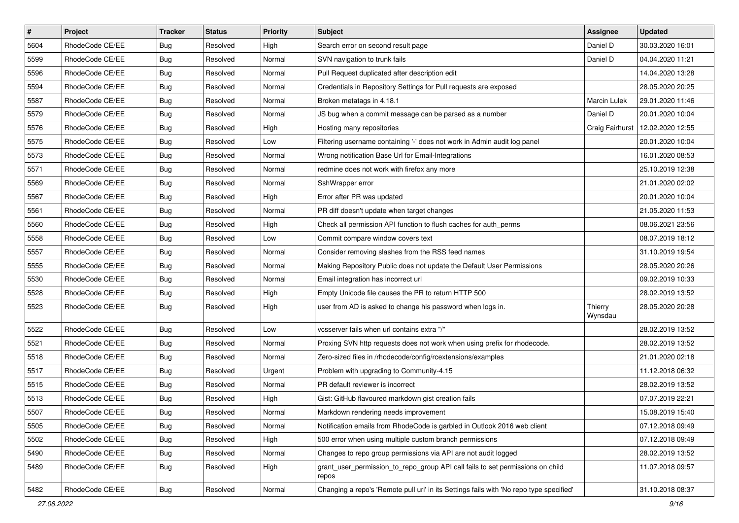| $\pmb{\#}$ | Project         | <b>Tracker</b> | <b>Status</b> | <b>Priority</b> | <b>Subject</b>                                                                          | <b>Assignee</b>     | <b>Updated</b>   |
|------------|-----------------|----------------|---------------|-----------------|-----------------------------------------------------------------------------------------|---------------------|------------------|
| 5604       | RhodeCode CE/EE | <b>Bug</b>     | Resolved      | High            | Search error on second result page                                                      | Daniel D            | 30.03.2020 16:01 |
| 5599       | RhodeCode CE/EE | Bug            | Resolved      | Normal          | SVN navigation to trunk fails                                                           | Daniel D            | 04.04.2020 11:21 |
| 5596       | RhodeCode CE/EE | <b>Bug</b>     | Resolved      | Normal          | Pull Request duplicated after description edit                                          |                     | 14.04.2020 13:28 |
| 5594       | RhodeCode CE/EE | <b>Bug</b>     | Resolved      | Normal          | Credentials in Repository Settings for Pull requests are exposed                        |                     | 28.05.2020 20:25 |
| 5587       | RhodeCode CE/EE | Bug            | Resolved      | Normal          | Broken metatags in 4.18.1                                                               | <b>Marcin Lulek</b> | 29.01.2020 11:46 |
| 5579       | RhodeCode CE/EE | <b>Bug</b>     | Resolved      | Normal          | JS bug when a commit message can be parsed as a number                                  | Daniel D            | 20.01.2020 10:04 |
| 5576       | RhodeCode CE/EE | Bug            | Resolved      | High            | Hosting many repositories                                                               | Craig Fairhurst     | 12.02.2020 12:55 |
| 5575       | RhodeCode CE/EE | <b>Bug</b>     | Resolved      | Low             | Filtering username containing '-' does not work in Admin audit log panel                |                     | 20.01.2020 10:04 |
| 5573       | RhodeCode CE/EE | <b>Bug</b>     | Resolved      | Normal          | Wrong notification Base Url for Email-Integrations                                      |                     | 16.01.2020 08:53 |
| 5571       | RhodeCode CE/EE | <b>Bug</b>     | Resolved      | Normal          | redmine does not work with firefox any more                                             |                     | 25.10.2019 12:38 |
| 5569       | RhodeCode CE/EE | Bug            | Resolved      | Normal          | SshWrapper error                                                                        |                     | 21.01.2020 02:02 |
| 5567       | RhodeCode CE/EE | Bug            | Resolved      | High            | Error after PR was updated                                                              |                     | 20.01.2020 10:04 |
| 5561       | RhodeCode CE/EE | Bug            | Resolved      | Normal          | PR diff doesn't update when target changes                                              |                     | 21.05.2020 11:53 |
| 5560       | RhodeCode CE/EE | <b>Bug</b>     | Resolved      | High            | Check all permission API function to flush caches for auth perms                        |                     | 08.06.2021 23:56 |
| 5558       | RhodeCode CE/EE | <b>Bug</b>     | Resolved      | Low             | Commit compare window covers text                                                       |                     | 08.07.2019 18:12 |
| 5557       | RhodeCode CE/EE | Bug            | Resolved      | Normal          | Consider removing slashes from the RSS feed names                                       |                     | 31.10.2019 19:54 |
| 5555       | RhodeCode CE/EE | <b>Bug</b>     | Resolved      | Normal          | Making Repository Public does not update the Default User Permissions                   |                     | 28.05.2020 20:26 |
| 5530       | RhodeCode CE/EE | Bug            | Resolved      | Normal          | Email integration has incorrect url                                                     |                     | 09.02.2019 10:33 |
| 5528       | RhodeCode CE/EE | Bug            | Resolved      | High            | Empty Unicode file causes the PR to return HTTP 500                                     |                     | 28.02.2019 13:52 |
| 5523       | RhodeCode CE/EE | <b>Bug</b>     | Resolved      | High            | user from AD is asked to change his password when logs in.                              | Thierry<br>Wynsdau  | 28.05.2020 20:28 |
| 5522       | RhodeCode CE/EE | Bug            | Resolved      | Low             | vcsserver fails when url contains extra "/"                                             |                     | 28.02.2019 13:52 |
| 5521       | RhodeCode CE/EE | <b>Bug</b>     | Resolved      | Normal          | Proxing SVN http requests does not work when using prefix for rhodecode.                |                     | 28.02.2019 13:52 |
| 5518       | RhodeCode CE/EE | Bug            | Resolved      | Normal          | Zero-sized files in /rhodecode/config/rcextensions/examples                             |                     | 21.01.2020 02:18 |
| 5517       | RhodeCode CE/EE | Bug            | Resolved      | Urgent          | Problem with upgrading to Community-4.15                                                |                     | 11.12.2018 06:32 |
| 5515       | RhodeCode CE/EE | Bug            | Resolved      | Normal          | PR default reviewer is incorrect                                                        |                     | 28.02.2019 13:52 |
| 5513       | RhodeCode CE/EE | <b>Bug</b>     | Resolved      | High            | Gist: GitHub flavoured markdown gist creation fails                                     |                     | 07.07.2019 22:21 |
| 5507       | RhodeCode CE/EE | <b>Bug</b>     | Resolved      | Normal          | Markdown rendering needs improvement                                                    |                     | 15.08.2019 15:40 |
| 5505       | RhodeCode CE/EE | Bug            | Resolved      | Normal          | Notification emails from RhodeCode is garbled in Outlook 2016 web client                |                     | 07.12.2018 09:49 |
| 5502       | RhodeCode CE/EE | <b>Bug</b>     | Resolved      | High            | 500 error when using multiple custom branch permissions                                 |                     | 07.12.2018 09:49 |
| 5490       | RhodeCode CE/EE | <b>Bug</b>     | Resolved      | Normal          | Changes to repo group permissions via API are not audit logged                          |                     | 28.02.2019 13:52 |
| 5489       | RhodeCode CE/EE | <b>Bug</b>     | Resolved      | High            | grant_user_permission_to_repo_group API call fails to set permissions on child<br>repos |                     | 11.07.2018 09:57 |
| 5482       | RhodeCode CE/EE | Bug            | Resolved      | Normal          | Changing a repo's 'Remote pull uri' in its Settings fails with 'No repo type specified' |                     | 31.10.2018 08:37 |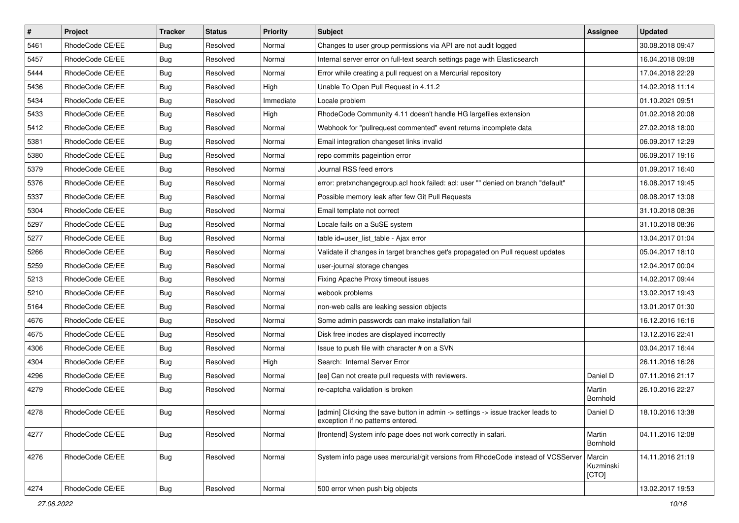| $\vert$ # | Project         | <b>Tracker</b> | <b>Status</b> | <b>Priority</b> | Subject                                                                                                              | <b>Assignee</b>              | <b>Updated</b>   |
|-----------|-----------------|----------------|---------------|-----------------|----------------------------------------------------------------------------------------------------------------------|------------------------------|------------------|
| 5461      | RhodeCode CE/EE | Bug            | Resolved      | Normal          | Changes to user group permissions via API are not audit logged                                                       |                              | 30.08.2018 09:47 |
| 5457      | RhodeCode CE/EE | Bug            | Resolved      | Normal          | Internal server error on full-text search settings page with Elasticsearch                                           |                              | 16.04.2018 09:08 |
| 5444      | RhodeCode CE/EE | Bug            | Resolved      | Normal          | Error while creating a pull request on a Mercurial repository                                                        |                              | 17.04.2018 22:29 |
| 5436      | RhodeCode CE/EE | Bug            | Resolved      | High            | Unable To Open Pull Request in 4.11.2                                                                                |                              | 14.02.2018 11:14 |
| 5434      | RhodeCode CE/EE | <b>Bug</b>     | Resolved      | Immediate       | Locale problem                                                                                                       |                              | 01.10.2021 09:51 |
| 5433      | RhodeCode CE/EE | Bug            | Resolved      | High            | RhodeCode Community 4.11 doesn't handle HG largefiles extension                                                      |                              | 01.02.2018 20:08 |
| 5412      | RhodeCode CE/EE | Bug            | Resolved      | Normal          | Webhook for "pullrequest commented" event returns incomplete data                                                    |                              | 27.02.2018 18:00 |
| 5381      | RhodeCode CE/EE | Bug            | Resolved      | Normal          | Email integration changeset links invalid                                                                            |                              | 06.09.2017 12:29 |
| 5380      | RhodeCode CE/EE | Bug            | Resolved      | Normal          | repo commits pageintion error                                                                                        |                              | 06.09.2017 19:16 |
| 5379      | RhodeCode CE/EE | Bug            | Resolved      | Normal          | Journal RSS feed errors                                                                                              |                              | 01.09.2017 16:40 |
| 5376      | RhodeCode CE/EE | Bug            | Resolved      | Normal          | error: pretxnchangegroup.acl hook failed: acl: user "" denied on branch "default"                                    |                              | 16.08.2017 19:45 |
| 5337      | RhodeCode CE/EE | Bug            | Resolved      | Normal          | Possible memory leak after few Git Pull Requests                                                                     |                              | 08.08.2017 13:08 |
| 5304      | RhodeCode CE/EE | Bug            | Resolved      | Normal          | Email template not correct                                                                                           |                              | 31.10.2018 08:36 |
| 5297      | RhodeCode CE/EE | <b>Bug</b>     | Resolved      | Normal          | Locale fails on a SuSE system                                                                                        |                              | 31.10.2018 08:36 |
| 5277      | RhodeCode CE/EE | Bug            | Resolved      | Normal          | table id=user_list_table - Ajax error                                                                                |                              | 13.04.2017 01:04 |
| 5266      | RhodeCode CE/EE | Bug            | Resolved      | Normal          | Validate if changes in target branches get's propagated on Pull request updates                                      |                              | 05.04.2017 18:10 |
| 5259      | RhodeCode CE/EE | Bug            | Resolved      | Normal          | user-journal storage changes                                                                                         |                              | 12.04.2017 00:04 |
| 5213      | RhodeCode CE/EE | Bug            | Resolved      | Normal          | Fixing Apache Proxy timeout issues                                                                                   |                              | 14.02.2017 09:44 |
| 5210      | RhodeCode CE/EE | Bug            | Resolved      | Normal          | webook problems                                                                                                      |                              | 13.02.2017 19:43 |
| 5164      | RhodeCode CE/EE | Bug            | Resolved      | Normal          | non-web calls are leaking session objects                                                                            |                              | 13.01.2017 01:30 |
| 4676      | RhodeCode CE/EE | <b>Bug</b>     | Resolved      | Normal          | Some admin passwords can make installation fail                                                                      |                              | 16.12.2016 16:16 |
| 4675      | RhodeCode CE/EE | Bug            | Resolved      | Normal          | Disk free inodes are displayed incorrectly                                                                           |                              | 13.12.2016 22:41 |
| 4306      | RhodeCode CE/EE | Bug            | Resolved      | Normal          | Issue to push file with character # on a SVN                                                                         |                              | 03.04.2017 16:44 |
| 4304      | RhodeCode CE/EE | <b>Bug</b>     | Resolved      | High            | Search: Internal Server Error                                                                                        |                              | 26.11.2016 16:26 |
| 4296      | RhodeCode CE/EE | Bug            | Resolved      | Normal          | [ee] Can not create pull requests with reviewers.                                                                    | Daniel D                     | 07.11.2016 21:17 |
| 4279      | RhodeCode CE/EE | Bug            | Resolved      | Normal          | re-captcha validation is broken                                                                                      | Martin<br>Bornhold           | 26.10.2016 22:27 |
| 4278      | RhodeCode CE/EE | Bug            | Resolved      | Normal          | [admin] Clicking the save button in admin -> settings -> issue tracker leads to<br>exception if no patterns entered. | Daniel D                     | 18.10.2016 13:38 |
| 4277      | RhodeCode CE/EE | Bug            | Resolved      | Normal          | [frontend] System info page does not work correctly in safari.                                                       | Martin<br>Bornhold           | 04.11.2016 12:08 |
| 4276      | RhodeCode CE/EE | Bug            | Resolved      | Normal          | System info page uses mercurial/git versions from RhodeCode instead of VCSServer                                     | Marcin<br>Kuzminski<br>[CTO] | 14.11.2016 21:19 |
| 4274      | RhodeCode CE/EE | <b>Bug</b>     | Resolved      | Normal          | 500 error when push big objects                                                                                      |                              | 13.02.2017 19:53 |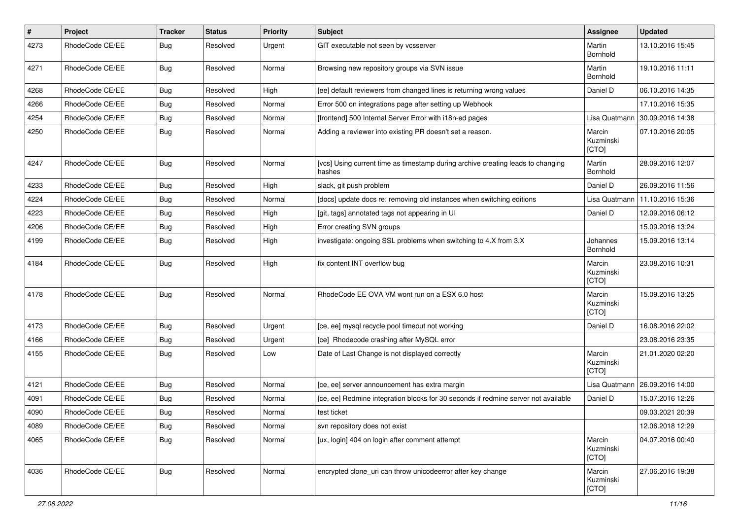| #    | Project         | <b>Tracker</b> | <b>Status</b> | <b>Priority</b> | <b>Subject</b>                                                                            | Assignee                     | <b>Updated</b>   |
|------|-----------------|----------------|---------------|-----------------|-------------------------------------------------------------------------------------------|------------------------------|------------------|
| 4273 | RhodeCode CE/EE | Bug            | Resolved      | Urgent          | GIT executable not seen by vcsserver                                                      | Martin<br>Bornhold           | 13.10.2016 15:45 |
| 4271 | RhodeCode CE/EE | Bug            | Resolved      | Normal          | Browsing new repository groups via SVN issue                                              | Martin<br>Bornhold           | 19.10.2016 11:11 |
| 4268 | RhodeCode CE/EE | Bug            | Resolved      | High            | [ee] default reviewers from changed lines is returning wrong values                       | Daniel D                     | 06.10.2016 14:35 |
| 4266 | RhodeCode CE/EE | <b>Bug</b>     | Resolved      | Normal          | Error 500 on integrations page after setting up Webhook                                   |                              | 17.10.2016 15:35 |
| 4254 | RhodeCode CE/EE | <b>Bug</b>     | Resolved      | Normal          | [frontend] 500 Internal Server Error with i18n-ed pages                                   | Lisa Quatmann                | 30.09.2016 14:38 |
| 4250 | RhodeCode CE/EE | Bug            | Resolved      | Normal          | Adding a reviewer into existing PR doesn't set a reason.                                  | Marcin<br>Kuzminski<br>[CTO] | 07.10.2016 20:05 |
| 4247 | RhodeCode CE/EE | Bug            | Resolved      | Normal          | [vcs] Using current time as timestamp during archive creating leads to changing<br>hashes | Martin<br>Bornhold           | 28.09.2016 12:07 |
| 4233 | RhodeCode CE/EE | Bug            | Resolved      | High            | slack, git push problem                                                                   | Daniel D                     | 26.09.2016 11:56 |
| 4224 | RhodeCode CE/EE | <b>Bug</b>     | Resolved      | Normal          | [docs] update docs re: removing old instances when switching editions                     | Lisa Quatmann                | 11.10.2016 15:36 |
| 4223 | RhodeCode CE/EE | Bug            | Resolved      | High            | [git, tags] annotated tags not appearing in UI                                            | Daniel D                     | 12.09.2016 06:12 |
| 4206 | RhodeCode CE/EE | Bug            | Resolved      | High            | Error creating SVN groups                                                                 |                              | 15.09.2016 13:24 |
| 4199 | RhodeCode CE/EE | Bug            | Resolved      | High            | investigate: ongoing SSL problems when switching to 4.X from 3.X                          | Johannes<br>Bornhold         | 15.09.2016 13:14 |
| 4184 | RhodeCode CE/EE | Bug            | Resolved      | High            | fix content INT overflow bug                                                              | Marcin<br>Kuzminski<br>[CTO] | 23.08.2016 10:31 |
| 4178 | RhodeCode CE/EE | Bug            | Resolved      | Normal          | RhodeCode EE OVA VM wont run on a ESX 6.0 host                                            | Marcin<br>Kuzminski<br>[CTO] | 15.09.2016 13:25 |
| 4173 | RhodeCode CE/EE | Bug            | Resolved      | Urgent          | [ce, ee] mysql recycle pool timeout not working                                           | Daniel D                     | 16.08.2016 22:02 |
| 4166 | RhodeCode CE/EE | Bug            | Resolved      | Urgent          | [ce] Rhodecode crashing after MySQL error                                                 |                              | 23.08.2016 23:35 |
| 4155 | RhodeCode CE/EE | Bug            | Resolved      | Low             | Date of Last Change is not displayed correctly                                            | Marcin<br>Kuzminski<br>[CTO] | 21.01.2020 02:20 |
| 4121 | RhodeCode CE/EE | <b>Bug</b>     | Resolved      | Normal          | [ce, ee] server announcement has extra margin                                             | Lisa Quatmann                | 26.09.2016 14:00 |
| 4091 | RhodeCode CE/EE | Bug            | Resolved      | Normal          | [ce, ee] Redmine integration blocks for 30 seconds if redmine server not available        | Daniel D                     | 15.07.2016 12:26 |
| 4090 | RhodeCode CE/EE | Bug            | Resolved      | Normal          | test ticket                                                                               |                              | 09.03.2021 20:39 |
| 4089 | RhodeCode CE/EE | Bug            | Resolved      | Normal          | svn repository does not exist                                                             |                              | 12.06.2018 12:29 |
| 4065 | RhodeCode CE/EE | <b>Bug</b>     | Resolved      | Normal          | [ux, login] 404 on login after comment attempt                                            | Marcin<br>Kuzminski<br>[CTO] | 04.07.2016 00:40 |
| 4036 | RhodeCode CE/EE | Bug            | Resolved      | Normal          | encrypted clone_uri can throw unicodeerror after key change                               | Marcin<br>Kuzminski<br>[CTO] | 27.06.2016 19:38 |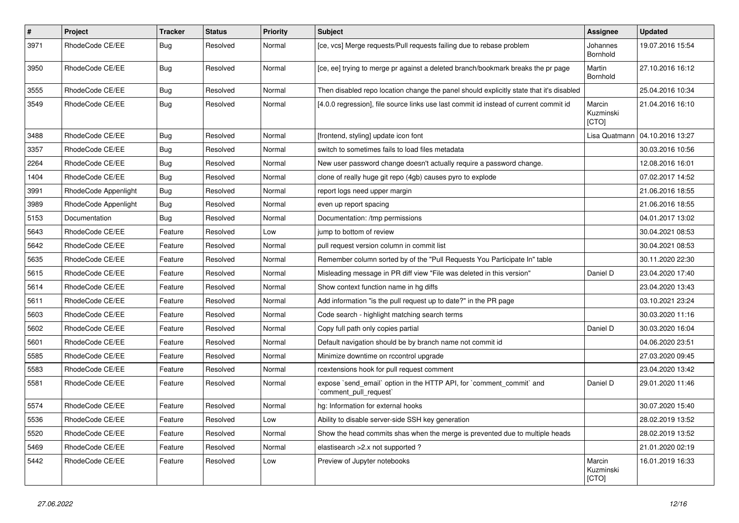| $\#$ | Project              | Tracker    | <b>Status</b> | <b>Priority</b> | <b>Subject</b>                                                                                 | Assignee                     | <b>Updated</b>   |
|------|----------------------|------------|---------------|-----------------|------------------------------------------------------------------------------------------------|------------------------------|------------------|
| 3971 | RhodeCode CE/EE      | Bug        | Resolved      | Normal          | [ce, vcs] Merge requests/Pull requests failing due to rebase problem                           | Johannes<br>Bornhold         | 19.07.2016 15:54 |
| 3950 | RhodeCode CE/EE      | Bug        | Resolved      | Normal          | [ce, ee] trying to merge pr against a deleted branch/bookmark breaks the pr page               | Martin<br>Bornhold           | 27.10.2016 16:12 |
| 3555 | RhodeCode CE/EE      | <b>Bug</b> | Resolved      | Normal          | Then disabled repo location change the panel should explicitly state that it's disabled        |                              | 25.04.2016 10:34 |
| 3549 | RhodeCode CE/EE      | <b>Bug</b> | Resolved      | Normal          | [4.0.0 regression], file source links use last commit id instead of current commit id          | Marcin<br>Kuzminski<br>[CTO] | 21.04.2016 16:10 |
| 3488 | RhodeCode CE/EE      | <b>Bug</b> | Resolved      | Normal          | [frontend, styling] update icon font                                                           | Lisa Quatmann                | 04.10.2016 13:27 |
| 3357 | RhodeCode CE/EE      | <b>Bug</b> | Resolved      | Normal          | switch to sometimes fails to load files metadata                                               |                              | 30.03.2016 10:56 |
| 2264 | RhodeCode CE/EE      | <b>Bug</b> | Resolved      | Normal          | New user password change doesn't actually require a password change.                           |                              | 12.08.2016 16:01 |
| 1404 | RhodeCode CE/EE      | <b>Bug</b> | Resolved      | Normal          | clone of really huge git repo (4gb) causes pyro to explode                                     |                              | 07.02.2017 14:52 |
| 3991 | RhodeCode Appenlight | Bug        | Resolved      | Normal          | report logs need upper margin                                                                  |                              | 21.06.2016 18:55 |
| 3989 | RhodeCode Appenlight | <b>Bug</b> | Resolved      | Normal          | even up report spacing                                                                         |                              | 21.06.2016 18:55 |
| 5153 | Documentation        | Bug        | Resolved      | Normal          | Documentation: /tmp permissions                                                                |                              | 04.01.2017 13:02 |
| 5643 | RhodeCode CE/EE      | Feature    | Resolved      | Low             | jump to bottom of review                                                                       |                              | 30.04.2021 08:53 |
| 5642 | RhodeCode CE/EE      | Feature    | Resolved      | Normal          | pull request version column in commit list                                                     |                              | 30.04.2021 08:53 |
| 5635 | RhodeCode CE/EE      | Feature    | Resolved      | Normal          | Remember column sorted by of the "Pull Requests You Participate In" table                      |                              | 30.11.2020 22:30 |
| 5615 | RhodeCode CE/EE      | Feature    | Resolved      | Normal          | Misleading message in PR diff view "File was deleted in this version"                          | Daniel D                     | 23.04.2020 17:40 |
| 5614 | RhodeCode CE/EE      | Feature    | Resolved      | Normal          | Show context function name in hg diffs                                                         |                              | 23.04.2020 13:43 |
| 5611 | RhodeCode CE/EE      | Feature    | Resolved      | Normal          | Add information "is the pull request up to date?" in the PR page                               |                              | 03.10.2021 23:24 |
| 5603 | RhodeCode CE/EE      | Feature    | Resolved      | Normal          | Code search - highlight matching search terms                                                  |                              | 30.03.2020 11:16 |
| 5602 | RhodeCode CE/EE      | Feature    | Resolved      | Normal          | Copy full path only copies partial                                                             | Daniel D                     | 30.03.2020 16:04 |
| 5601 | RhodeCode CE/EE      | Feature    | Resolved      | Normal          | Default navigation should be by branch name not commit id                                      |                              | 04.06.2020 23:51 |
| 5585 | RhodeCode CE/EE      | Feature    | Resolved      | Normal          | Minimize downtime on rccontrol upgrade                                                         |                              | 27.03.2020 09:45 |
| 5583 | RhodeCode CE/EE      | Feature    | Resolved      | Normal          | rcextensions hook for pull request comment                                                     |                              | 23.04.2020 13:42 |
| 5581 | RhodeCode CE/EE      | Feature    | Resolved      | Normal          | expose `send_email` option in the HTTP API, for `comment_commit` and<br>`comment_pull_request` | Daniel D                     | 29.01.2020 11:46 |
| 5574 | RhodeCode CE/EE      | Feature    | Resolved      | Normal          | hg: Information for external hooks                                                             |                              | 30.07.2020 15:40 |
| 5536 | RhodeCode CE/EE      | Feature    | Resolved      | Low             | Ability to disable server-side SSH key generation                                              |                              | 28.02.2019 13:52 |
| 5520 | RhodeCode CE/EE      | Feature    | Resolved      | Normal          | Show the head commits shas when the merge is prevented due to multiple heads                   |                              | 28.02.2019 13:52 |
| 5469 | RhodeCode CE/EE      | Feature    | Resolved      | Normal          | elastisearch > 2.x not supported ?                                                             |                              | 21.01.2020 02:19 |
| 5442 | RhodeCode CE/EE      | Feature    | Resolved      | Low             | Preview of Jupyter notebooks                                                                   | Marcin<br>Kuzminski<br>[CTO] | 16.01.2019 16:33 |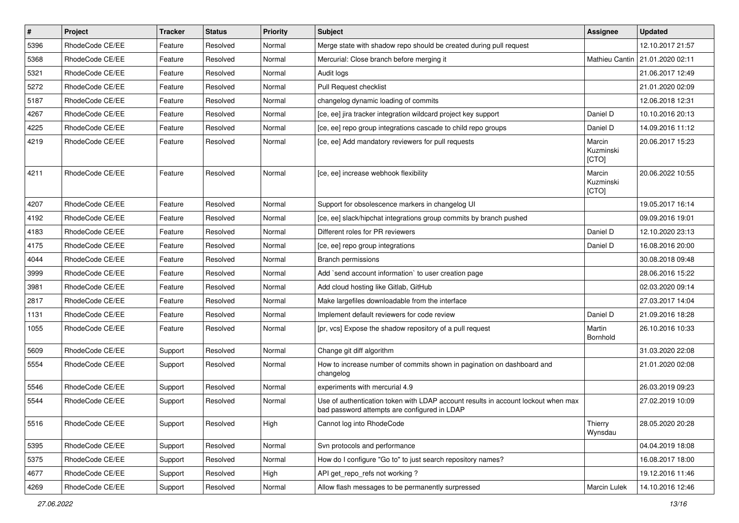| $\vert$ # | Project         | <b>Tracker</b> | <b>Status</b> | <b>Priority</b> | Subject                                                                                                                           | <b>Assignee</b>              | <b>Updated</b>                    |
|-----------|-----------------|----------------|---------------|-----------------|-----------------------------------------------------------------------------------------------------------------------------------|------------------------------|-----------------------------------|
| 5396      | RhodeCode CE/EE | Feature        | Resolved      | Normal          | Merge state with shadow repo should be created during pull request                                                                |                              | 12.10.2017 21:57                  |
| 5368      | RhodeCode CE/EE | Feature        | Resolved      | Normal          | Mercurial: Close branch before merging it                                                                                         |                              | Mathieu Cantin   21.01.2020 02:11 |
| 5321      | RhodeCode CE/EE | Feature        | Resolved      | Normal          | Audit logs                                                                                                                        |                              | 21.06.2017 12:49                  |
| 5272      | RhodeCode CE/EE | Feature        | Resolved      | Normal          | Pull Request checklist                                                                                                            |                              | 21.01.2020 02:09                  |
| 5187      | RhodeCode CE/EE | Feature        | Resolved      | Normal          | changelog dynamic loading of commits                                                                                              |                              | 12.06.2018 12:31                  |
| 4267      | RhodeCode CE/EE | Feature        | Resolved      | Normal          | [ce, ee] jira tracker integration wildcard project key support                                                                    | Daniel D                     | 10.10.2016 20:13                  |
| 4225      | RhodeCode CE/EE | Feature        | Resolved      | Normal          | [ce, ee] repo group integrations cascade to child repo groups                                                                     | Daniel D                     | 14.09.2016 11:12                  |
| 4219      | RhodeCode CE/EE | Feature        | Resolved      | Normal          | [ce, ee] Add mandatory reviewers for pull requests                                                                                | Marcin<br>Kuzminski<br>[CTO] | 20.06.2017 15:23                  |
| 4211      | RhodeCode CE/EE | Feature        | Resolved      | Normal          | [ce, ee] increase webhook flexibility                                                                                             | Marcin<br>Kuzminski<br>[CTO] | 20.06.2022 10:55                  |
| 4207      | RhodeCode CE/EE | Feature        | Resolved      | Normal          | Support for obsolescence markers in changelog UI                                                                                  |                              | 19.05.2017 16:14                  |
| 4192      | RhodeCode CE/EE | Feature        | Resolved      | Normal          | [ce, ee] slack/hipchat integrations group commits by branch pushed                                                                |                              | 09.09.2016 19:01                  |
| 4183      | RhodeCode CE/EE | Feature        | Resolved      | Normal          | Different roles for PR reviewers                                                                                                  | Daniel D                     | 12.10.2020 23:13                  |
| 4175      | RhodeCode CE/EE | Feature        | Resolved      | Normal          | [ce, ee] repo group integrations                                                                                                  | Daniel D                     | 16.08.2016 20:00                  |
| 4044      | RhodeCode CE/EE | Feature        | Resolved      | Normal          | <b>Branch permissions</b>                                                                                                         |                              | 30.08.2018 09:48                  |
| 3999      | RhodeCode CE/EE | Feature        | Resolved      | Normal          | Add `send account information` to user creation page                                                                              |                              | 28.06.2016 15:22                  |
| 3981      | RhodeCode CE/EE | Feature        | Resolved      | Normal          | Add cloud hosting like Gitlab, GitHub                                                                                             |                              | 02.03.2020 09:14                  |
| 2817      | RhodeCode CE/EE | Feature        | Resolved      | Normal          | Make largefiles downloadable from the interface                                                                                   |                              | 27.03.2017 14:04                  |
| 1131      | RhodeCode CE/EE | Feature        | Resolved      | Normal          | Implement default reviewers for code review                                                                                       | Daniel D                     | 21.09.2016 18:28                  |
| 1055      | RhodeCode CE/EE | Feature        | Resolved      | Normal          | [pr, vcs] Expose the shadow repository of a pull request                                                                          | Martin<br>Bornhold           | 26.10.2016 10:33                  |
| 5609      | RhodeCode CE/EE | Support        | Resolved      | Normal          | Change git diff algorithm                                                                                                         |                              | 31.03.2020 22:08                  |
| 5554      | RhodeCode CE/EE | Support        | Resolved      | Normal          | How to increase number of commits shown in pagination on dashboard and<br>changelog                                               |                              | 21.01.2020 02:08                  |
| 5546      | RhodeCode CE/EE | Support        | Resolved      | Normal          | experiments with mercurial 4.9                                                                                                    |                              | 26.03.2019 09:23                  |
| 5544      | RhodeCode CE/EE | Support        | Resolved      | Normal          | Use of authentication token with LDAP account results in account lockout when max<br>bad password attempts are configured in LDAP |                              | 27.02.2019 10:09                  |
| 5516      | RhodeCode CE/EE | Support        | Resolved      | High            | Cannot log into RhodeCode                                                                                                         | Thierry<br>Wynsdau           | 28.05.2020 20:28                  |
| 5395      | RhodeCode CE/EE | Support        | Resolved      | Normal          | Svn protocols and performance                                                                                                     |                              | 04.04.2019 18:08                  |
| 5375      | RhodeCode CE/EE | Support        | Resolved      | Normal          | How do I configure "Go to" to just search repository names?                                                                       |                              | 16.08.2017 18:00                  |
| 4677      | RhodeCode CE/EE | Support        | Resolved      | High            | API get_repo_refs not working?                                                                                                    |                              | 19.12.2016 11:46                  |
| 4269      | RhodeCode CE/EE | Support        | Resolved      | Normal          | Allow flash messages to be permanently surpressed                                                                                 | Marcin Lulek                 | 14.10.2016 12:46                  |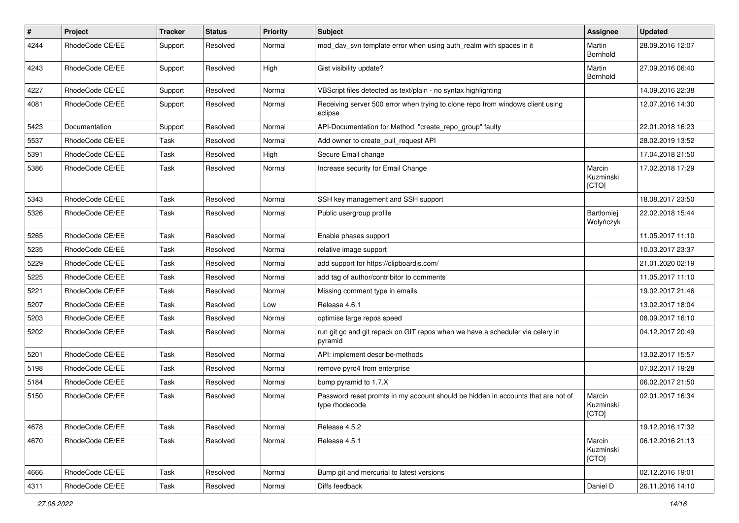| $\sharp$ | Project         | <b>Tracker</b> | <b>Status</b> | <b>Priority</b> | Subject                                                                                            | Assignee                     | <b>Updated</b>   |
|----------|-----------------|----------------|---------------|-----------------|----------------------------------------------------------------------------------------------------|------------------------------|------------------|
| 4244     | RhodeCode CE/EE | Support        | Resolved      | Normal          | mod day syn template error when using auth realm with spaces in it                                 | Martin<br>Bornhold           | 28.09.2016 12:07 |
| 4243     | RhodeCode CE/EE | Support        | Resolved      | High            | Gist visibility update?                                                                            | Martin<br>Bornhold           | 27.09.2016 06:40 |
| 4227     | RhodeCode CE/EE | Support        | Resolved      | Normal          | VBScript files detected as text/plain - no syntax highlighting                                     |                              | 14.09.2016 22:38 |
| 4081     | RhodeCode CE/EE | Support        | Resolved      | Normal          | Receiving server 500 error when trying to clone repo from windows client using<br>eclipse          |                              | 12.07.2016 14:30 |
| 5423     | Documentation   | Support        | Resolved      | Normal          | API-Documentation for Method "create_repo_group" faulty                                            |                              | 22.01.2018 16:23 |
| 5537     | RhodeCode CE/EE | Task           | Resolved      | Normal          | Add owner to create_pull_request API                                                               |                              | 28.02.2019 13:52 |
| 5391     | RhodeCode CE/EE | Task           | Resolved      | High            | Secure Email change                                                                                |                              | 17.04.2018 21:50 |
| 5386     | RhodeCode CE/EE | Task           | Resolved      | Normal          | Increase security for Email Change                                                                 | Marcin<br>Kuzminski<br>[CTO] | 17.02.2018 17:29 |
| 5343     | RhodeCode CE/EE | Task           | Resolved      | Normal          | SSH key management and SSH support                                                                 |                              | 18.08.2017 23:50 |
| 5326     | RhodeCode CE/EE | Task           | Resolved      | Normal          | Public usergroup profile                                                                           | Bartłomiej<br>Wołyńczyk      | 22.02.2018 15:44 |
| 5265     | RhodeCode CE/EE | Task           | Resolved      | Normal          | Enable phases support                                                                              |                              | 11.05.2017 11:10 |
| 5235     | RhodeCode CE/EE | Task           | Resolved      | Normal          | relative image support                                                                             |                              | 10.03.2017 23:37 |
| 5229     | RhodeCode CE/EE | Task           | Resolved      | Normal          | add support for https://clipboardjs.com/                                                           |                              | 21.01.2020 02:19 |
| 5225     | RhodeCode CE/EE | Task           | Resolved      | Normal          | add tag of author/contribitor to comments                                                          |                              | 11.05.2017 11:10 |
| 5221     | RhodeCode CE/EE | Task           | Resolved      | Normal          | Missing comment type in emails                                                                     |                              | 19.02.2017 21:46 |
| 5207     | RhodeCode CE/EE | Task           | Resolved      | Low             | Release 4.6.1                                                                                      |                              | 13.02.2017 18:04 |
| 5203     | RhodeCode CE/EE | Task           | Resolved      | Normal          | optimise large repos speed                                                                         |                              | 08.09.2017 16:10 |
| 5202     | RhodeCode CE/EE | Task           | Resolved      | Normal          | run git gc and git repack on GIT repos when we have a scheduler via celery in<br>pyramid           |                              | 04.12.2017 20:49 |
| 5201     | RhodeCode CE/EE | Task           | Resolved      | Normal          | API: implement describe-methods                                                                    |                              | 13.02.2017 15:57 |
| 5198     | RhodeCode CE/EE | Task           | Resolved      | Normal          | remove pyro4 from enterprise                                                                       |                              | 07.02.2017 19:28 |
| 5184     | RhodeCode CE/EE | Task           | Resolved      | Normal          | bump pyramid to 1.7.X                                                                              |                              | 06.02.2017 21:50 |
| 5150     | RhodeCode CE/EE | Task           | Resolved      | Normal          | Password reset promts in my account should be hidden in accounts that are not of<br>type rhodecode | Marcin<br>Kuzminski<br>[CTO] | 02.01.2017 16:34 |
| 4678     | RhodeCode CE/EE | Task           | Resolved      | Normal          | Release 4.5.2                                                                                      |                              | 19.12.2016 17:32 |
| 4670     | RhodeCode CE/EE | Task           | Resolved      | Normal          | Release 4.5.1                                                                                      | Marcin<br>Kuzminski<br>[CTO] | 06.12.2016 21:13 |
| 4666     | RhodeCode CE/EE | Task           | Resolved      | Normal          | Bump git and mercurial to latest versions                                                          |                              | 02.12.2016 19:01 |
| 4311     | RhodeCode CE/EE | Task           | Resolved      | Normal          | Diffs feedback                                                                                     | Daniel D                     | 26.11.2016 14:10 |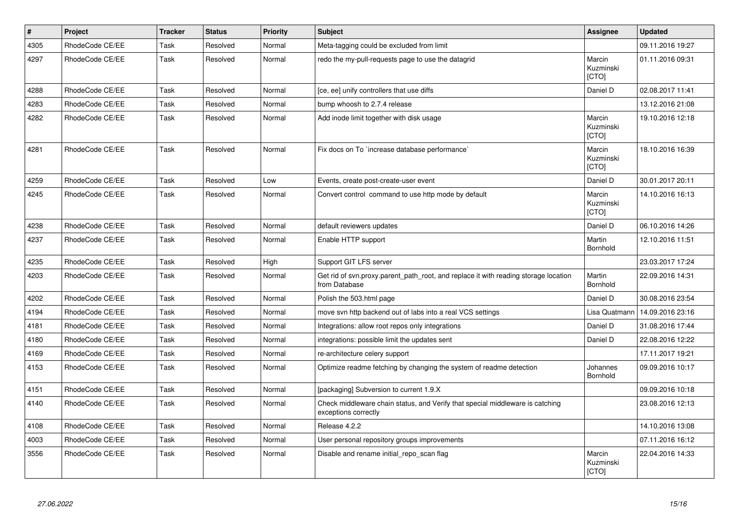| $\vert$ # | <b>Project</b>  | <b>Tracker</b> | <b>Status</b> | Priority | <b>Subject</b>                                                                                        | <b>Assignee</b>                     | <b>Updated</b>   |
|-----------|-----------------|----------------|---------------|----------|-------------------------------------------------------------------------------------------------------|-------------------------------------|------------------|
| 4305      | RhodeCode CE/EE | Task           | Resolved      | Normal   | Meta-tagging could be excluded from limit                                                             |                                     | 09.11.2016 19:27 |
| 4297      | RhodeCode CE/EE | Task           | Resolved      | Normal   | redo the my-pull-requests page to use the datagrid                                                    | Marcin<br>Kuzminski<br>[CTO]        | 01.11.2016 09:31 |
| 4288      | RhodeCode CE/EE | Task           | Resolved      | Normal   | [ce, ee] unify controllers that use diffs                                                             | Daniel D                            | 02.08.2017 11:41 |
| 4283      | RhodeCode CE/EE | Task           | Resolved      | Normal   | bump whoosh to 2.7.4 release                                                                          |                                     | 13.12.2016 21:08 |
| 4282      | RhodeCode CE/EE | Task           | Resolved      | Normal   | Add inode limit together with disk usage                                                              | Marcin<br>Kuzminski<br>[CTO]        | 19.10.2016 12:18 |
| 4281      | RhodeCode CE/EE | Task           | Resolved      | Normal   | Fix docs on To `increase database performance`                                                        | Marcin<br>Kuzminski<br>[CTO]        | 18.10.2016 16:39 |
| 4259      | RhodeCode CE/EE | Task           | Resolved      | Low      | Events, create post-create-user event                                                                 | Daniel D                            | 30.01.2017 20:11 |
| 4245      | RhodeCode CE/EE | Task           | Resolved      | Normal   | Convert control command to use http mode by default                                                   | Marcin<br>Kuzminski<br>[CTO]        | 14.10.2016 16:13 |
| 4238      | RhodeCode CE/EE | Task           | Resolved      | Normal   | default reviewers updates                                                                             | Daniel D                            | 06.10.2016 14:26 |
| 4237      | RhodeCode CE/EE | Task           | Resolved      | Normal   | Enable HTTP support                                                                                   | Martin<br>Bornhold                  | 12.10.2016 11:51 |
| 4235      | RhodeCode CE/EE | Task           | Resolved      | High     | Support GIT LFS server                                                                                |                                     | 23.03.2017 17:24 |
| 4203      | RhodeCode CE/EE | Task           | Resolved      | Normal   | Get rid of svn.proxy.parent path root, and replace it with reading storage location<br>from Database  | Martin<br>Bornhold                  | 22.09.2016 14:31 |
| 4202      | RhodeCode CE/EE | Task           | Resolved      | Normal   | Polish the 503.html page                                                                              | Daniel D                            | 30.08.2016 23:54 |
| 4194      | RhodeCode CE/EE | Task           | Resolved      | Normal   | move svn http backend out of labs into a real VCS settings                                            | Lisa Quatmann                       | 14.09.2016 23:16 |
| 4181      | RhodeCode CE/EE | Task           | Resolved      | Normal   | Integrations: allow root repos only integrations                                                      | Daniel D                            | 31.08.2016 17:44 |
| 4180      | RhodeCode CE/EE | Task           | Resolved      | Normal   | integrations: possible limit the updates sent                                                         | Daniel D                            | 22.08.2016 12:22 |
| 4169      | RhodeCode CE/EE | Task           | Resolved      | Normal   | re-architecture celery support                                                                        |                                     | 17.11.2017 19:21 |
| 4153      | RhodeCode CE/EE | Task           | Resolved      | Normal   | Optimize readme fetching by changing the system of readme detection                                   | Johannes<br>Bornhold                | 09.09.2016 10:17 |
| 4151      | RhodeCode CE/EE | Task           | Resolved      | Normal   | [packaging] Subversion to current 1.9.X                                                               |                                     | 09.09.2016 10:18 |
| 4140      | RhodeCode CE/EE | Task           | Resolved      | Normal   | Check middleware chain status, and Verify that special middleware is catching<br>exceptions correctly |                                     | 23.08.2016 12:13 |
| 4108      | RhodeCode CE/EE | Task           | Resolved      | Normal   | Release 4.2.2                                                                                         |                                     | 14.10.2016 13:08 |
| 4003      | RhodeCode CE/EE | Task           | Resolved      | Normal   | User personal repository groups improvements                                                          |                                     | 07.11.2016 16:12 |
| 3556      | RhodeCode CE/EE | Task           | Resolved      | Normal   | Disable and rename initial repo scan flag                                                             | Marcin<br>Kuzminski<br><b>[CTO]</b> | 22.04.2016 14:33 |